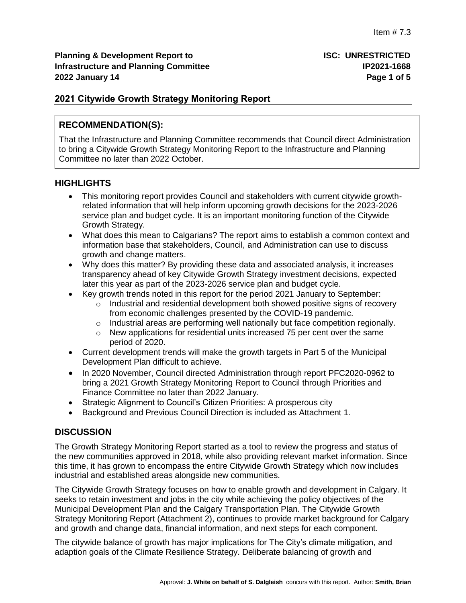# **2021 Citywide Growth Strategy Monitoring Report**

# **RECOMMENDATION(S):**

That the Infrastructure and Planning Committee recommends that Council direct Administration to bring a Citywide Growth Strategy Monitoring Report to the Infrastructure and Planning Committee no later than 2022 October.

# **HIGHLIGHTS**

- This monitoring report provides Council and stakeholders with current citywide growthrelated information that will help inform upcoming growth decisions for the 2023-2026 service plan and budget cycle. It is an important monitoring function of the Citywide Growth Strategy.
- What does this mean to Calgarians? The report aims to establish a common context and information base that stakeholders, Council, and Administration can use to discuss growth and change matters.
- Why does this matter? By providing these data and associated analysis, it increases transparency ahead of key Citywide Growth Strategy investment decisions, expected later this year as part of the 2023-2026 service plan and budget cycle.
- Key growth trends noted in this report for the period 2021 January to September:
	- $\circ$  Industrial and residential development both showed positive signs of recovery from economic challenges presented by the COVID-19 pandemic.
	- $\circ$  Industrial areas are performing well nationally but face competition regionally.
	- o New applications for residential units increased 75 per cent over the same period of 2020.
- Current development trends will make the growth targets in Part 5 of the Municipal Development Plan difficult to achieve.
- In 2020 November, Council directed Administration through report PFC2020-0962 to bring a 2021 Growth Strategy Monitoring Report to Council through Priorities and Finance Committee no later than 2022 January.
- Strategic Alignment to Council's Citizen Priorities: A prosperous city
- Background and Previous Council Direction is included as Attachment 1.

# **DISCUSSION**

The Growth Strategy Monitoring Report started as a tool to review the progress and status of the new communities approved in 2018, while also providing relevant market information. Since this time, it has grown to encompass the entire Citywide Growth Strategy which now includes industrial and established areas alongside new communities.

The Citywide Growth Strategy focuses on how to enable growth and development in Calgary. It seeks to retain investment and jobs in the city while achieving the policy objectives of the Municipal Development Plan and the Calgary Transportation Plan. The Citywide Growth Strategy Monitoring Report (Attachment 2), continues to provide market background for Calgary and growth and change data, financial information, and next steps for each component.

The citywide balance of growth has major implications for The City's climate mitigation, and adaption goals of the Climate Resilience Strategy. Deliberate balancing of growth and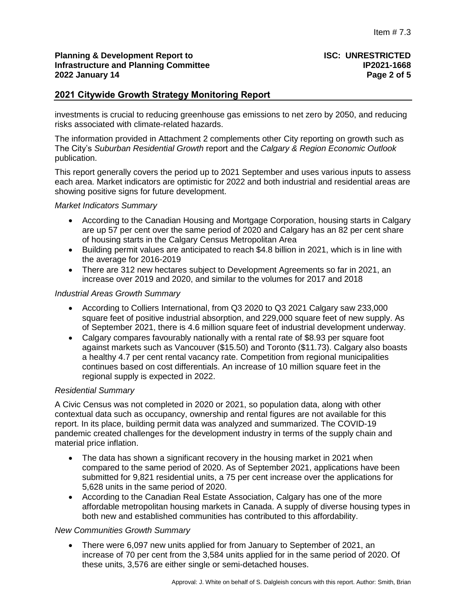#### **Planning & Development Report to ISC: UNRESTRICTED Infrastructure and Planning Committee 2022 January 14 Page 2 of 5**

# **2021 Citywide Growth Strategy Monitoring Report**

investments is crucial to reducing greenhouse gas emissions to net zero by 2050, and reducing risks associated with climate-related hazards.

The information provided in Attachment 2 complements other City reporting on growth such as The City's *Suburban Residential Growth* report and the *Calgary & Region Economic Outlook* publication.

This report generally covers the period up to 2021 September and uses various inputs to assess each area. Market indicators are optimistic for 2022 and both industrial and residential areas are showing positive signs for future development.

#### *Market Indicators Summary*

- According to the Canadian Housing and Mortgage Corporation, housing starts in Calgary are up 57 per cent over the same period of 2020 and Calgary has an 82 per cent share of housing starts in the Calgary Census Metropolitan Area
- Building permit values are anticipated to reach \$4.8 billion in 2021, which is in line with the average for 2016-2019
- There are 312 new hectares subject to Development Agreements so far in 2021, an increase over 2019 and 2020, and similar to the volumes for 2017 and 2018

#### *Industrial Areas Growth Summary*

- According to Colliers International, from Q3 2020 to Q3 2021 Calgary saw 233,000 square feet of positive industrial absorption, and 229,000 square feet of new supply. As of September 2021, there is 4.6 million square feet of industrial development underway.
- Calgary compares favourably nationally with a rental rate of \$8.93 per square foot against markets such as Vancouver (\$15.50) and Toronto (\$11.73). Calgary also boasts a healthy 4.7 per cent rental vacancy rate. Competition from regional municipalities continues based on cost differentials. An increase of 10 million square feet in the regional supply is expected in 2022.

### *Residential Summary*

A Civic Census was not completed in 2020 or 2021, so population data, along with other contextual data such as occupancy, ownership and rental figures are not available for this report. In its place, building permit data was analyzed and summarized. The COVID-19 pandemic created challenges for the development industry in terms of the supply chain and material price inflation.

- The data has shown a significant recovery in the housing market in 2021 when compared to the same period of 2020. As of September 2021, applications have been submitted for 9,821 residential units, a 75 per cent increase over the applications for 5,628 units in the same period of 2020.
- According to the Canadian Real Estate Association, Calgary has one of the more affordable metropolitan housing markets in Canada. A supply of diverse housing types in both new and established communities has contributed to this affordability.

#### *New Communities Growth Summary*

 There were 6,097 new units applied for from January to September of 2021, an increase of 70 per cent from the 3,584 units applied for in the same period of 2020. Of these units, 3,576 are either single or semi-detached houses.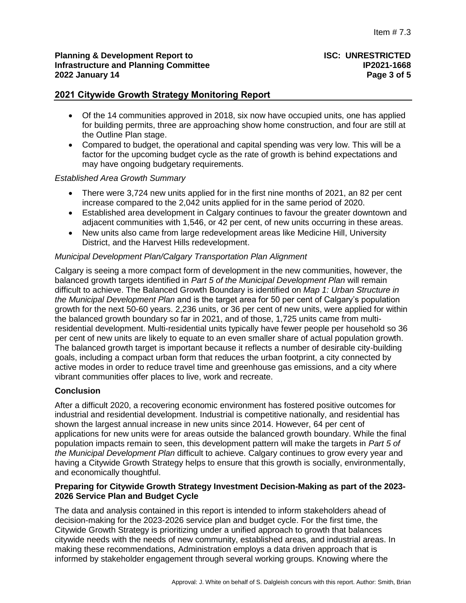#### **Planning & Development Report to ISC: UNRESTRICTED Infrastructure and Planning Committee IP2021-1668 2022 January 14 Page 3 of 5**

# **2021 Citywide Growth Strategy Monitoring Report**

- Of the 14 communities approved in 2018, six now have occupied units, one has applied for building permits, three are approaching show home construction, and four are still at the Outline Plan stage.
- Compared to budget, the operational and capital spending was very low. This will be a factor for the upcoming budget cycle as the rate of growth is behind expectations and may have ongoing budgetary requirements.

#### *Established Area Growth Summary*

- There were 3,724 new units applied for in the first nine months of 2021, an 82 per cent increase compared to the 2,042 units applied for in the same period of 2020.
- Established area development in Calgary continues to favour the greater downtown and adjacent communities with 1,546, or 42 per cent, of new units occurring in these areas.
- New units also came from large redevelopment areas like Medicine Hill, University District, and the Harvest Hills redevelopment.

#### *Municipal Development Plan/Calgary Transportation Plan Alignment*

Calgary is seeing a more compact form of development in the new communities, however, the balanced growth targets identified in *Part 5 of the Municipal Development Plan* will remain difficult to achieve. The Balanced Growth Boundary is identified on *Map 1: Urban Structure in the Municipal Development Plan* and is the target area for 50 per cent of Calgary's population growth for the next 50-60 years. 2,236 units, or 36 per cent of new units, were applied for within the balanced growth boundary so far in 2021, and of those, 1,725 units came from multiresidential development. Multi-residential units typically have fewer people per household so 36 per cent of new units are likely to equate to an even smaller share of actual population growth. The balanced growth target is important because it reflects a number of desirable city-building goals, including a compact urban form that reduces the urban footprint, a city connected by active modes in order to reduce travel time and greenhouse gas emissions, and a city where vibrant communities offer places to live, work and recreate.

### **Conclusion**

After a difficult 2020, a recovering economic environment has fostered positive outcomes for industrial and residential development. Industrial is competitive nationally, and residential has shown the largest annual increase in new units since 2014. However, 64 per cent of applications for new units were for areas outside the balanced growth boundary. While the final population impacts remain to seen, this development pattern will make the targets in *Part 5 of the Municipal Development Plan* difficult to achieve. Calgary continues to grow every year and having a Citywide Growth Strategy helps to ensure that this growth is socially, environmentally, and economically thoughtful.

### **Preparing for Citywide Growth Strategy Investment Decision-Making as part of the 2023- 2026 Service Plan and Budget Cycle**

The data and analysis contained in this report is intended to inform stakeholders ahead of decision-making for the 2023-2026 service plan and budget cycle. For the first time, the Citywide Growth Strategy is prioritizing under a unified approach to growth that balances citywide needs with the needs of new community, established areas, and industrial areas. In making these recommendations, Administration employs a data driven approach that is informed by stakeholder engagement through several working groups. Knowing where the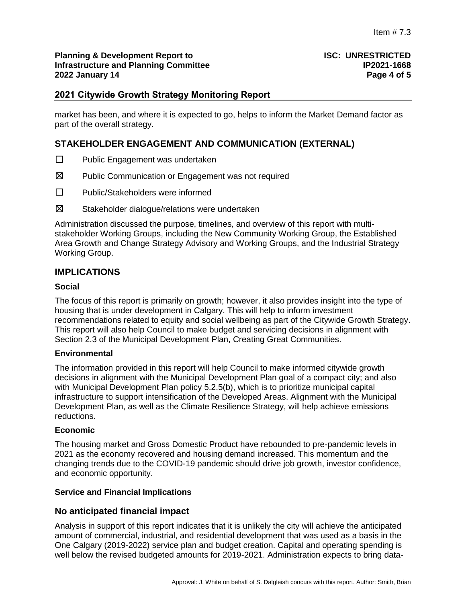#### **Planning & Development Report to <b>ISC: UNRESTRICTED Infrastructure and Planning Committee IP2021-1668 2022 January 14 Page 4 of 5**

# **2021 Citywide Growth Strategy Monitoring Report**

market has been, and where it is expected to go, helps to inform the Market Demand factor as part of the overall strategy.

# **STAKEHOLDER ENGAGEMENT AND COMMUNICATION (EXTERNAL)**

- ☐ Public Engagement was undertaken
- ☒ Public Communication or Engagement was not required
- ☐ Public/Stakeholders were informed
- ☒ Stakeholder dialogue/relations were undertaken

Administration discussed the purpose, timelines, and overview of this report with multistakeholder Working Groups, including the New Community Working Group, the Established Area Growth and Change Strategy Advisory and Working Groups, and the Industrial Strategy Working Group.

# **IMPLICATIONS**

#### **Social**

The focus of this report is primarily on growth; however, it also provides insight into the type of housing that is under development in Calgary. This will help to inform investment recommendations related to equity and social wellbeing as part of the Citywide Growth Strategy. This report will also help Council to make budget and servicing decisions in alignment with Section 2.3 of the Municipal Development Plan, Creating Great Communities.

#### **Environmental**

The information provided in this report will help Council to make informed citywide growth decisions in alignment with the Municipal Development Plan goal of a compact city; and also with Municipal Development Plan policy 5.2.5(b), which is to prioritize municipal capital infrastructure to support intensification of the Developed Areas. Alignment with the Municipal Development Plan, as well as the Climate Resilience Strategy, will help achieve emissions reductions.

#### **Economic**

The housing market and Gross Domestic Product have rebounded to pre-pandemic levels in 2021 as the economy recovered and housing demand increased. This momentum and the changing trends due to the COVID-19 pandemic should drive job growth, investor confidence, and economic opportunity.

#### **Service and Financial Implications**

### **No anticipated financial impact**

Analysis in support of this report indicates that it is unlikely the city will achieve the anticipated amount of commercial, industrial, and residential development that was used as a basis in the One Calgary (2019-2022) service plan and budget creation. Capital and operating spending is well below the revised budgeted amounts for 2019-2021. Administration expects to bring data-